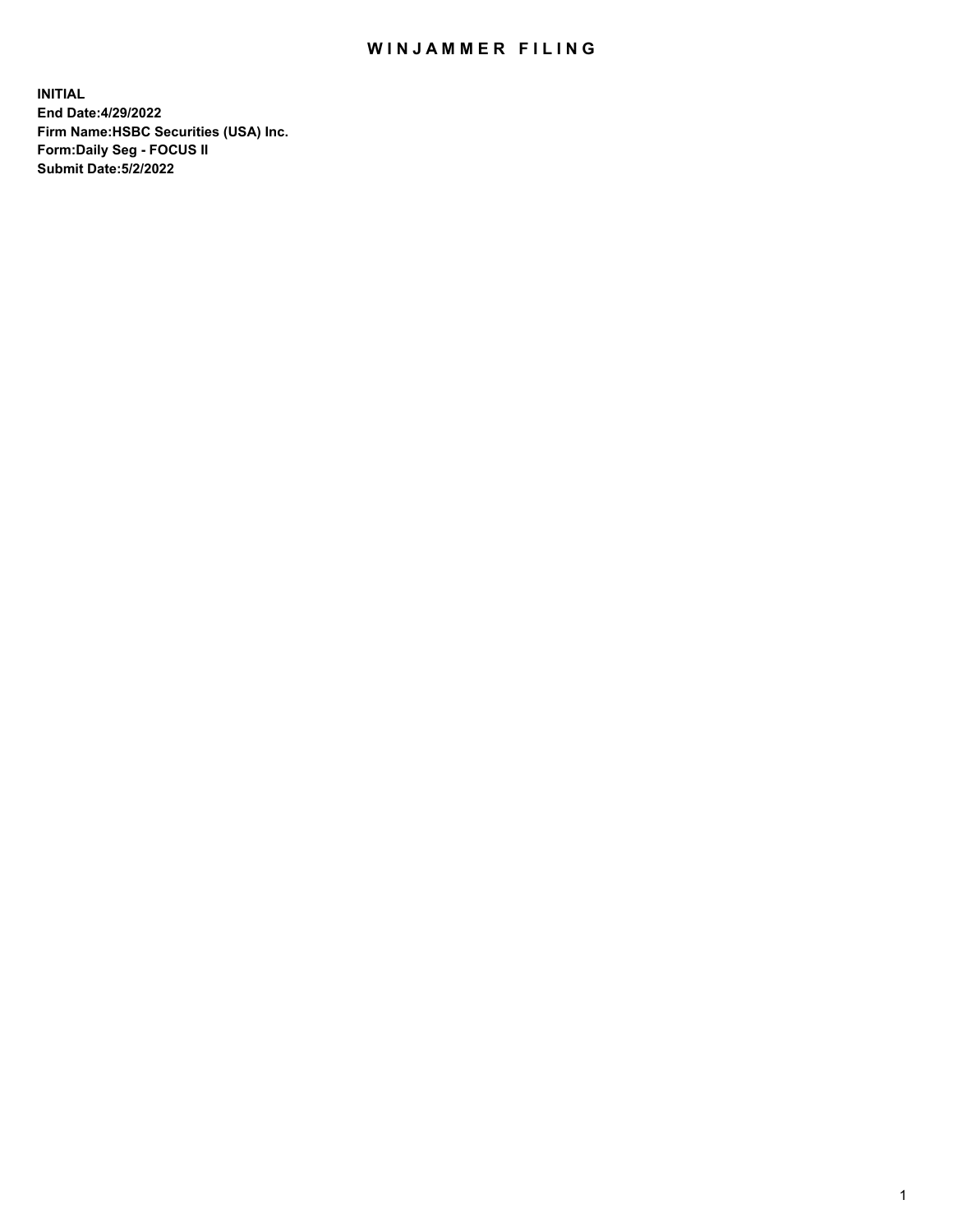## WIN JAMMER FILING

**INITIAL End Date:4/29/2022 Firm Name:HSBC Securities (USA) Inc. Form:Daily Seg - FOCUS II Submit Date:5/2/2022**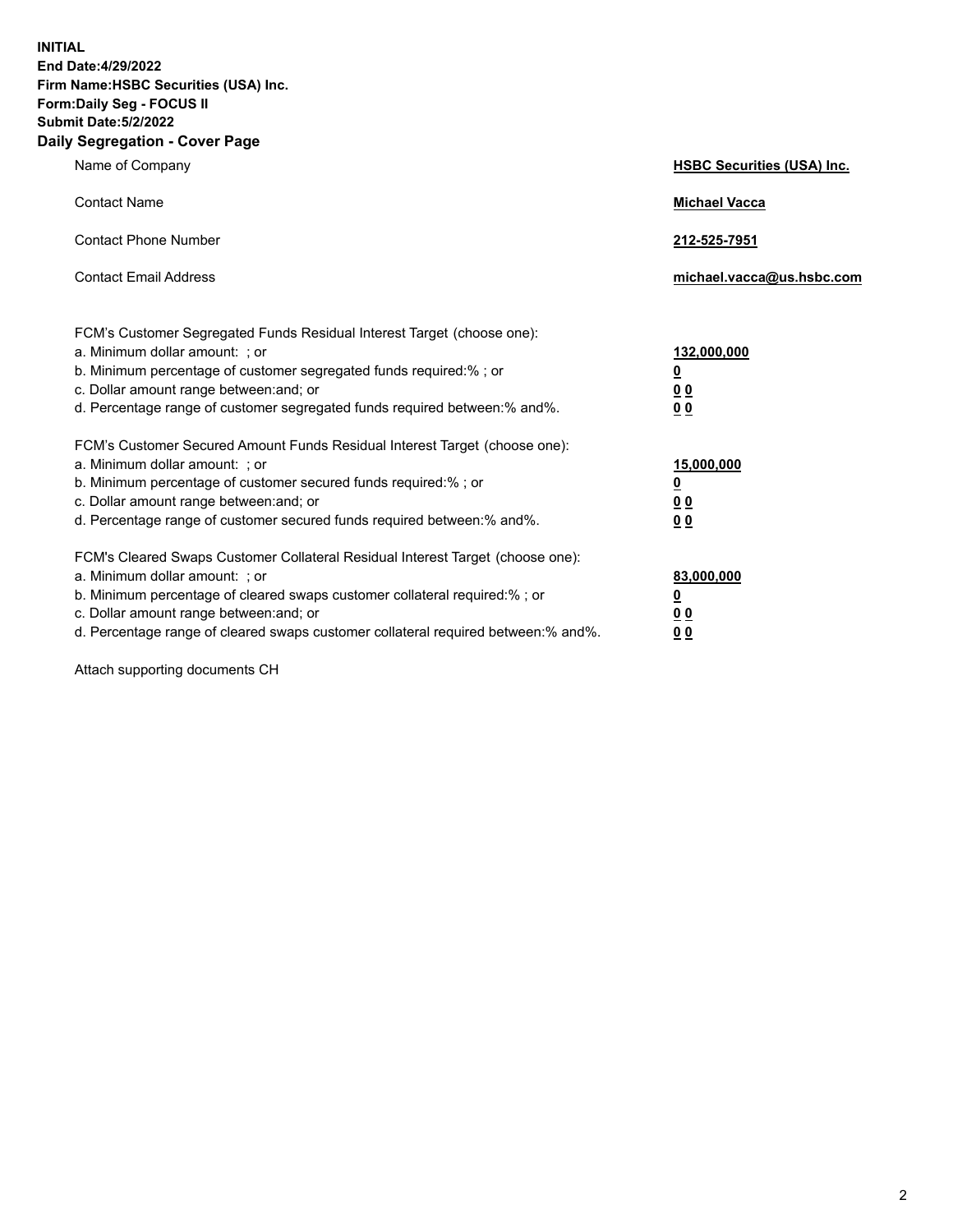**INITIAL End Date:4/29/2022 Firm Name:HSBC Securities (USA) Inc. Form:Daily Seg - FOCUS II Submit Date:5/2/2022 Daily Segregation - Cover Page**

| Name of Company                                                                                                                                                                                                                                                                                                                | <b>HSBC Securities (USA) Inc.</b>                           |
|--------------------------------------------------------------------------------------------------------------------------------------------------------------------------------------------------------------------------------------------------------------------------------------------------------------------------------|-------------------------------------------------------------|
| <b>Contact Name</b>                                                                                                                                                                                                                                                                                                            | <b>Michael Vacca</b>                                        |
| <b>Contact Phone Number</b>                                                                                                                                                                                                                                                                                                    | 212-525-7951                                                |
| <b>Contact Email Address</b>                                                                                                                                                                                                                                                                                                   | michael.vacca@us.hsbc.com                                   |
| FCM's Customer Segregated Funds Residual Interest Target (choose one):<br>a. Minimum dollar amount: ; or<br>b. Minimum percentage of customer segregated funds required:% ; or<br>c. Dollar amount range between: and; or<br>d. Percentage range of customer segregated funds required between:% and%.                         | 132,000,000<br><u>0</u><br>0 <sub>0</sub><br>0 <sub>0</sub> |
| FCM's Customer Secured Amount Funds Residual Interest Target (choose one):<br>a. Minimum dollar amount: ; or<br>b. Minimum percentage of customer secured funds required:%; or<br>c. Dollar amount range between: and; or<br>d. Percentage range of customer secured funds required between:% and%.                            | 15,000,000<br><u>0</u><br>0 <sub>0</sub><br>0 <sub>0</sub>  |
| FCM's Cleared Swaps Customer Collateral Residual Interest Target (choose one):<br>a. Minimum dollar amount: ; or<br>b. Minimum percentage of cleared swaps customer collateral required:% ; or<br>c. Dollar amount range between: and; or<br>d. Percentage range of cleared swaps customer collateral required between:% and%. | 83,000,000<br><u>0</u><br>00<br>00                          |

Attach supporting documents CH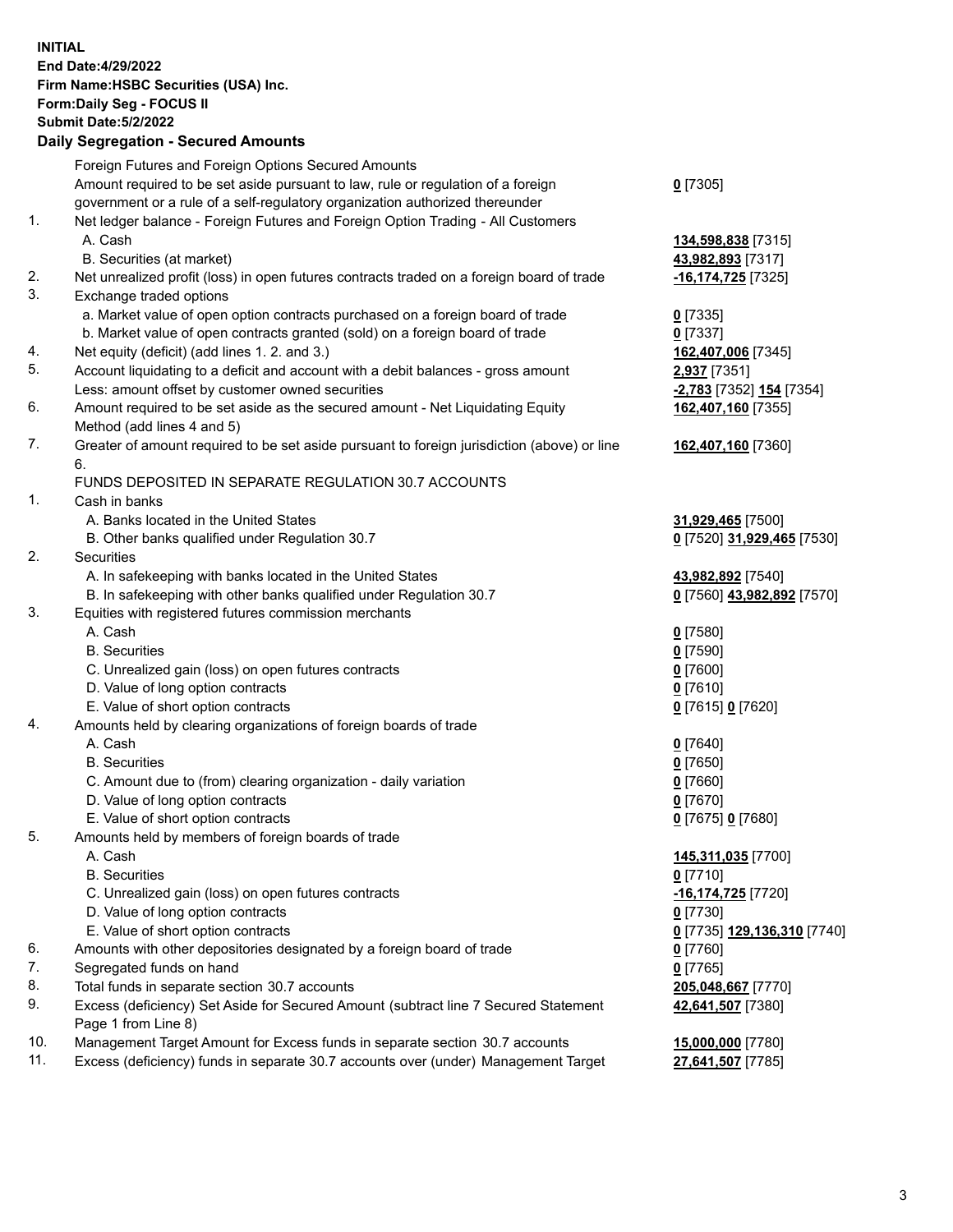**INITIAL End Date:4/29/2022 Firm Name:HSBC Securities (USA) Inc. Form:Daily Seg - FOCUS II Submit Date:5/2/2022 Daily Segregation - Secured Amounts** Foreign Futures and Foreign Options Secured Amounts Amount required to be set aside pursuant to law, rule or regulation of a foreign government or a rule of a self-regulatory organization authorized thereunder **0** [7305] 1. Net ledger balance - Foreign Futures and Foreign Option Trading - All Customers A. Cash **134,598,838** [7315] B. Securities (at market) **43,982,893** [7317] 2. Net unrealized profit (loss) in open futures contracts traded on a foreign board of trade **-16,174,725** [7325] 3. Exchange traded options a. Market value of open option contracts purchased on a foreign board of trade **0** [7335] b. Market value of open contracts granted (sold) on a foreign board of trade **0** [7337] 4. Net equity (deficit) (add lines 1. 2. and 3.) **162,407,006** [7345] 5. Account liquidating to a deficit and account with a debit balances - gross amount **2,937** [7351] Less: amount offset by customer owned securities **-2,783** [7352] **154** [7354] 6. Amount required to be set aside as the secured amount - Net Liquidating Equity Method (add lines 4 and 5) **162,407,160** [7355] 7. Greater of amount required to be set aside pursuant to foreign jurisdiction (above) or line 6. **162,407,160** [7360] FUNDS DEPOSITED IN SEPARATE REGULATION 30.7 ACCOUNTS 1. Cash in banks A. Banks located in the United States **31,929,465** [7500] B. Other banks qualified under Regulation 30.7 **0** [7520] **31,929,465** [7530] 2. Securities A. In safekeeping with banks located in the United States **43,982,892** [7540] B. In safekeeping with other banks qualified under Regulation 30.7 **0** [7560] **43,982,892** [7570] 3. Equities with registered futures commission merchants A. Cash **0** [7580] B. Securities **0** [7590] C. Unrealized gain (loss) on open futures contracts **0** [7600] D. Value of long option contracts **0** [7610] E. Value of short option contracts **0** [7615] **0** [7620] 4. Amounts held by clearing organizations of foreign boards of trade A. Cash **0** [7640] B. Securities **0** [7650] C. Amount due to (from) clearing organization - daily variation **0** [7660] D. Value of long option contracts **0** [7670] E. Value of short option contracts **0** [7675] **0** [7680] 5. Amounts held by members of foreign boards of trade A. Cash **145,311,035** [7700] B. Securities **0** [7710] C. Unrealized gain (loss) on open futures contracts **-16,174,725** [7720] D. Value of long option contracts **0** [7730] E. Value of short option contracts **0** [7735] **129,136,310** [7740] 6. Amounts with other depositories designated by a foreign board of trade **0** [7760] 7. Segregated funds on hand **0** [7765] 8. Total funds in separate section 30.7 accounts **205,048,667** [7770] 9. Excess (deficiency) Set Aside for Secured Amount (subtract line 7 Secured Statement Page 1 from Line 8) **42,641,507** [7380] 10. Management Target Amount for Excess funds in separate section 30.7 accounts **15,000,000** [7780] 11. Excess (deficiency) funds in separate 30.7 accounts over (under) Management Target **27,641,507** [7785]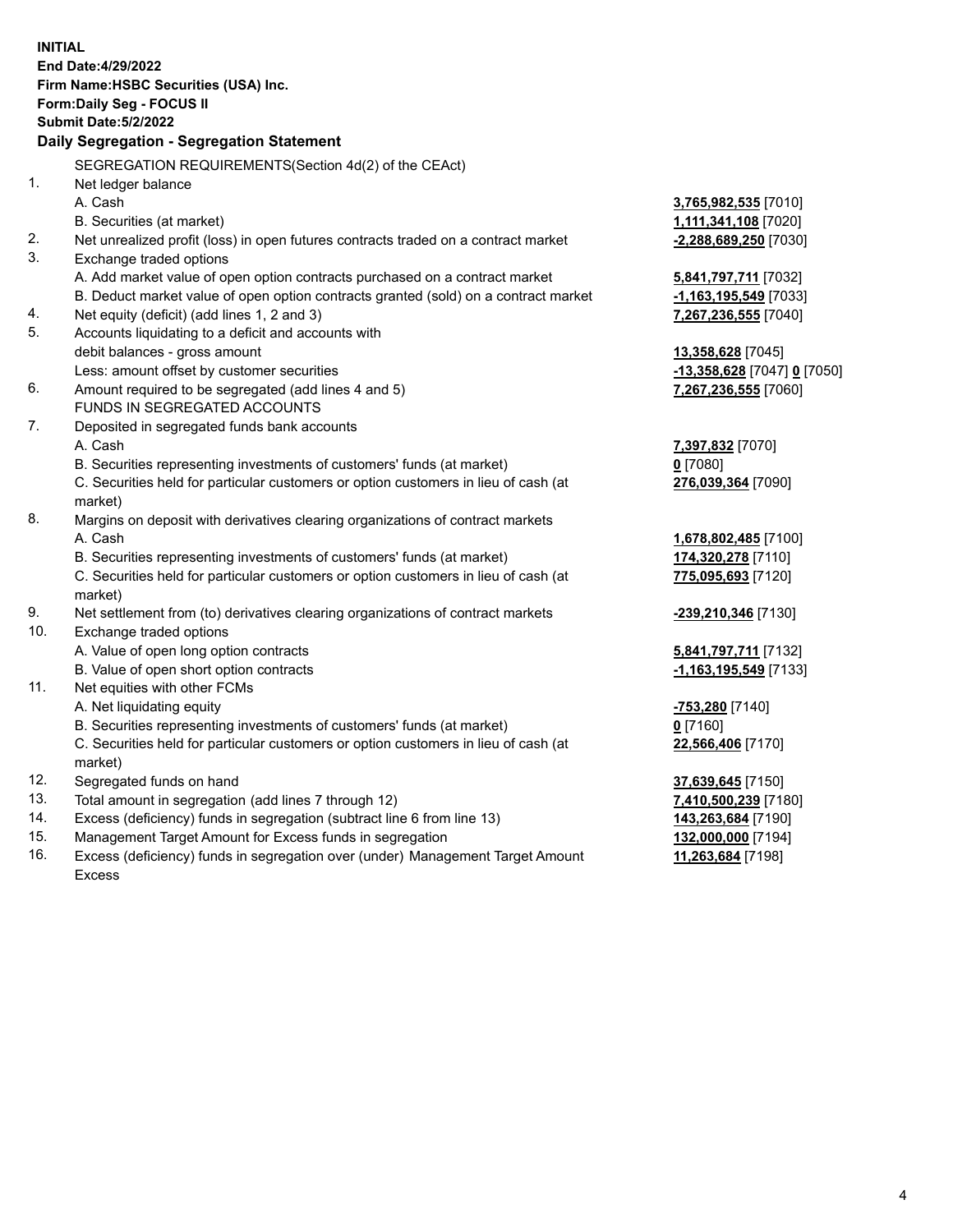|     | <b>INITIAL</b>                                                                      |                             |
|-----|-------------------------------------------------------------------------------------|-----------------------------|
|     | End Date: 4/29/2022                                                                 |                             |
|     | Firm Name: HSBC Securities (USA) Inc.                                               |                             |
|     | Form: Daily Seg - FOCUS II                                                          |                             |
|     | <b>Submit Date: 5/2/2022</b>                                                        |                             |
|     | Daily Segregation - Segregation Statement                                           |                             |
|     | SEGREGATION REQUIREMENTS(Section 4d(2) of the CEAct)                                |                             |
| 1.  | Net ledger balance                                                                  |                             |
|     | A. Cash                                                                             | 3,765,982,535 [7010]        |
|     | B. Securities (at market)                                                           | 1,111,341,108 [7020]        |
| 2.  | Net unrealized profit (loss) in open futures contracts traded on a contract market  | -2,288,689,250 [7030]       |
| 3.  | Exchange traded options                                                             |                             |
|     | A. Add market value of open option contracts purchased on a contract market         | 5,841,797,711 [7032]        |
|     | B. Deduct market value of open option contracts granted (sold) on a contract market | $-1,163,195,549$ [7033]     |
| 4.  | Net equity (deficit) (add lines 1, 2 and 3)                                         | 7,267,236,555 [7040]        |
| 5.  | Accounts liquidating to a deficit and accounts with                                 |                             |
|     | debit balances - gross amount                                                       | 13,358,628 [7045]           |
|     | Less: amount offset by customer securities                                          | -13,358,628 [7047] 0 [7050] |
| 6.  | Amount required to be segregated (add lines 4 and 5)                                | 7,267,236,555 [7060]        |
|     | FUNDS IN SEGREGATED ACCOUNTS                                                        |                             |
| 7.  | Deposited in segregated funds bank accounts                                         |                             |
|     | A. Cash                                                                             | 7,397,832 [7070]            |
|     | B. Securities representing investments of customers' funds (at market)              | $0$ [7080]                  |
|     | C. Securities held for particular customers or option customers in lieu of cash (at | 276,039,364 [7090]          |
|     | market)                                                                             |                             |
| 8.  | Margins on deposit with derivatives clearing organizations of contract markets      |                             |
|     | A. Cash                                                                             | 1,678,802,485 [7100]        |
|     | B. Securities representing investments of customers' funds (at market)              | 174,320,278 [7110]          |
|     | C. Securities held for particular customers or option customers in lieu of cash (at | 775,095,693 [7120]          |
|     | market)                                                                             |                             |
| 9.  | Net settlement from (to) derivatives clearing organizations of contract markets     | -239,210,346 [7130]         |
| 10. | Exchange traded options                                                             |                             |
|     | A. Value of open long option contracts                                              | 5,841,797,711 [7132]        |
|     | B. Value of open short option contracts                                             | -1,163,195,549 [7133]       |
| 11. | Net equities with other FCMs                                                        |                             |
|     | A. Net liquidating equity                                                           | -753,280 [7140]             |
|     | B. Securities representing investments of customers' funds (at market)              | $0$ [7160]                  |
|     | C. Securities held for particular customers or option customers in lieu of cash (at | 22,566,406 [7170]           |
|     | market)                                                                             |                             |
| 12. | Segregated funds on hand                                                            | 37,639,645 [7150]           |
| 13. | Total amount in segregation (add lines 7 through 12)                                | 7,410,500,239 [7180]        |
| 14. | Excess (deficiency) funds in segregation (subtract line 6 from line 13)             | 143,263,684 [7190]          |
| 15. | Management Target Amount for Excess funds in segregation                            | 132,000,000 [7194]          |
| 16. | Excess (deficiency) funds in segregation over (under) Management Target Amount      | 11,263,684 [7198]           |

Excess